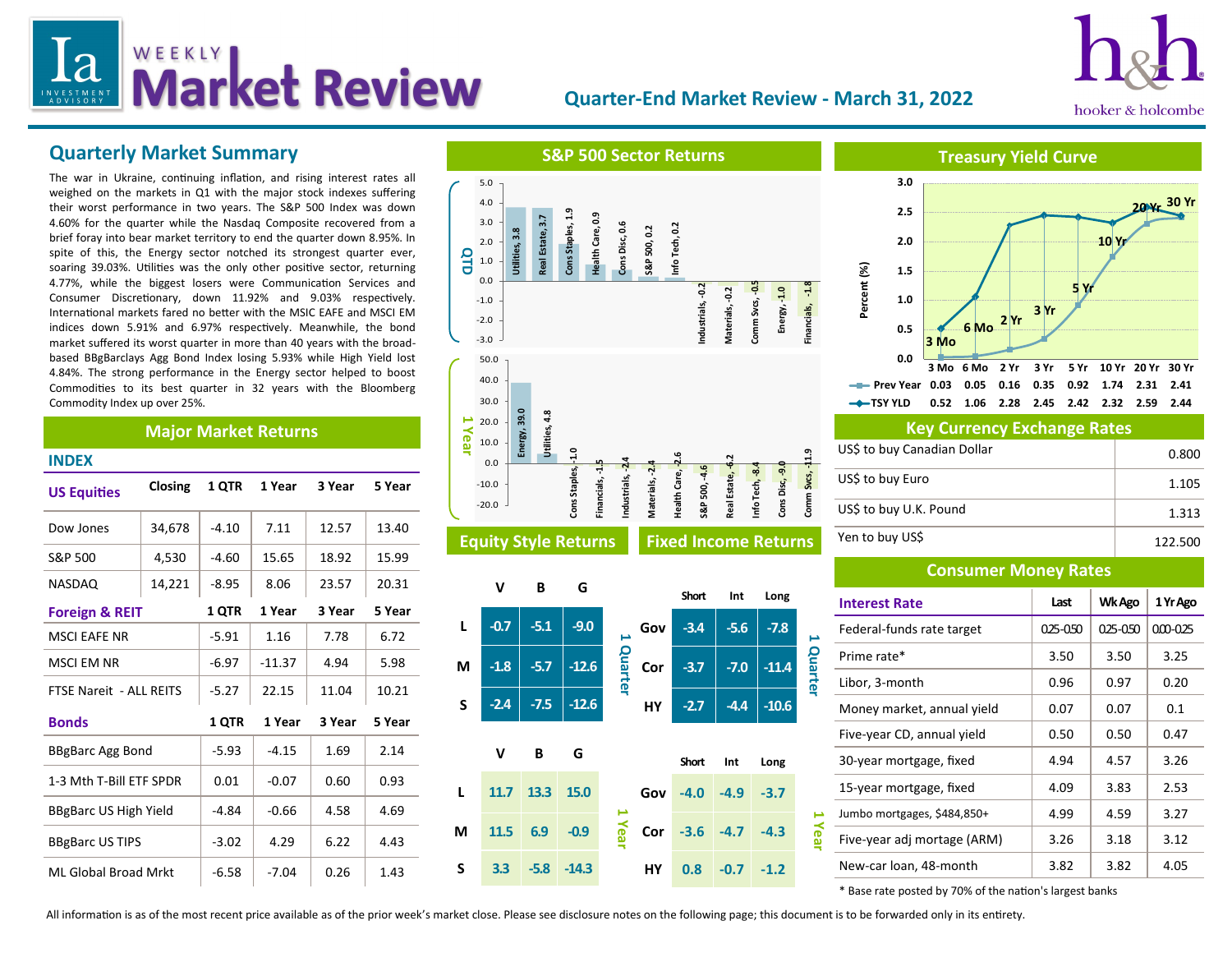# WEEKLY Let Review  $\overline{a}$

## **Quarter-End Market Review - March 31, 2022**



## **Quarterly Market Summary**

The war in Ukraine, continuing inflation, and rising interest rates all weighed on the markets in Q1 with the major stock indexes suffering their worst performance in two years. The S&P 500 Index was down 4.60% for the quarter while the Nasdaq Composite recovered from a brief foray into bear market territory to end the quarter down 8.95%. In spite of this, the Energy sector notched its strongest quarter ever, soaring 39.03%. Utilities was the only other positive sector, returning 4.77%, while the biggest losers were Communication Services and Consumer Discretionary, down 11.92% and 9.03% respectively. International markets fared no better with the MSIC EAFE and MSCI EM indices down 5.91% and 6.97% respectively. Meanwhile, the bond market suffered its worst quarter in more than 40 years with the broadbased BBgBarclays Agg Bond Index losing 5.93% while High Yield lost 4.84%. The strong performance in the Energy sector helped to boost Commodities to its best quarter in 32 years with the Bloomberg Commodity Index up over 25%.

### **Major Market Returns**

| <b>INDEX</b>                   |         |         |          |        |        |
|--------------------------------|---------|---------|----------|--------|--------|
| <b>US Equities</b>             | Closing | 1 OTR   | 1 Year   | 3 Year | 5 Year |
| Dow Jones                      | 34,678  | $-4.10$ | 7.11     | 12.57  | 13.40  |
| S&P 500                        | 4,530   | $-4.60$ | 15.65    | 18.92  | 15.99  |
| <b>NASDAQ</b>                  | 14,221  | -8.95   | 8.06     | 23.57  | 20.31  |
| <b>Foreign &amp; REIT</b>      |         | 1 QTR   | 1 Year   | 3 Year | 5 Year |
| <b>MSCI EAFE NR</b>            |         | $-5.91$ | 1.16     | 7.78   | 6.72   |
| <b>MSCI EM NR</b>              |         | $-6.97$ | $-11.37$ | 4.94   | 5.98   |
| <b>FTSE Nareit - ALL REITS</b> |         | $-5.27$ | 22.15    | 11.04  | 10.21  |
| <b>Bonds</b>                   |         | 1 QTR   | 1 Year   | 3 Year | 5 Year |
| BBgBarc Agg Bond               |         | $-5.93$ | $-4.15$  | 1.69   | 2.14   |
| 1-3 Mth T-Bill ETF SPDR        |         | 0.01    | $-0.07$  | 0.60   | 0.93   |
| <b>BBgBarc US High Yield</b>   |         | -4.84   | $-0.66$  | 4.58   | 4.69   |
| <b>BBgBarc US TIPS</b>         |         | $-3.02$ | 4.29     | 6.22   | 4.43   |
| <b>ML Global Broad Mrkt</b>    |         | $-6.58$ | $-7.04$  | 0.26   | 1.43   |







| <b>Key Currency Exchange Rates</b> |         |  |  |  |
|------------------------------------|---------|--|--|--|
| US\$ to buy Canadian Dollar        | 0.800   |  |  |  |
| US\$ to buy Euro                   | 1.105   |  |  |  |
| US\$ to buy U.K. Pound             | 1.313   |  |  |  |
| Yen to buy US\$                    | 122.500 |  |  |  |

### **Consumer Money Rates**

| <b>Interest Rate</b>        | Last      | Wk Ago  | 1 Yr Ago    |
|-----------------------------|-----------|---------|-------------|
| Federal-funds rate target   | 0.25-0.50 | 025-050 | $000 - 025$ |
| Prime rate*                 | 3.50      | 3.50    | 3.25        |
| Libor, 3-month              | 0.96      | 0.97    | 0.20        |
| Money market, annual yield  | 0.07      | 0.07    | 0.1         |
| Five-year CD, annual yield  | 0.50      | 0.50    | 0.47        |
| 30-year mortgage, fixed     | 4.94      | 4.57    | 3.26        |
| 15-year mortgage, fixed     | 4.09      | 3.83    | 2.53        |
| Jumbo mortgages, \$484,850+ | 4.99      | 4.59    | 3.27        |
| Five-year adj mortage (ARM) | 3.26      | 3.18    | 3.12        |
| New-car loan, 48-month      | 3.82      | 3.82    | 4.05        |

\* Base rate posted by 70% of the nation's largest banks

All information is as of the most recent price available as of the prior week's market close. Please see disclosure notes on the following page; this document is to be forwarded only in its entirety.